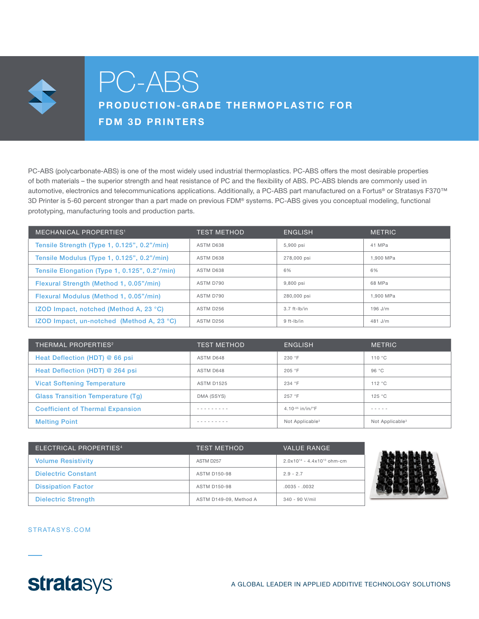

# PC-ABS

# PRODUCTION-GRADE THERMOPLASTIC FOR FDM 3D PRINTERS

PC-ABS (polycarbonate-ABS) is one of the most widely used industrial thermoplastics. PC-ABS offers the most desirable properties of both materials – the superior strength and heat resistance of PC and the flexibility of ABS. PC-ABS blends are commonly used in automotive, electronics and telecommunications applications. Additionally, a PC-ABS part manufactured on a Fortus® or Stratasys F370™ 3D Printer is 5-60 percent stronger than a part made on previous FDM® systems. PC-ABS gives you conceptual modeling, functional prototyping, manufacturing tools and production parts.

| <b>MECHANICAL PROPERTIES<sup>1</sup></b>            | <b>TEST METHOD</b> | ENGLISH        | <b>METRIC</b> |
|-----------------------------------------------------|--------------------|----------------|---------------|
| Tensile Strength (Type 1, 0.125", 0.2"/min)         | ASTM D638          | 5.900 psi      | 41 MPa        |
| Tensile Modulus (Type 1, 0.125", 0.2"/min)          | ASTM D638          | 278,000 psi    | 1.900 MPa     |
| Tensile Elongation (Type 1, 0.125", 0.2"/min)       | ASTM D638          | 6%             | 6%            |
| Flexural Strength (Method 1, 0.05"/min)             | ASTM D790          | 9,800 psi      | 68 MPa        |
| Flexural Modulus (Method 1, 0.05"/min)              | ASTM D790          | 280,000 psi    | 1.900 MPa     |
| IZOD Impact, notched (Method A, 23 °C)              | ASTM D256          | $3.7$ ft-lb/in | $196$ J/m     |
| IZOD Impact, un-notched (Method A, 23 $^{\circ}$ C) | ASTM D256          | $9$ ft-lb/in   | $481$ J/m     |

| THERMAL PROPERTIES <sup>2</sup>          | <b>TEST METHOD</b> | <b>ENGLISH</b>                 | <b>METRIC</b>               |
|------------------------------------------|--------------------|--------------------------------|-----------------------------|
| Heat Deflection (HDT) @ 66 psi           | ASTM D648          | 230 °F                         | 110 °C                      |
| Heat Deflection (HDT) @ 264 psi          | ASTM D648          | 205 °F                         | 96 °C                       |
| <b>Vicat Softening Temperature</b>       | <b>ASTM D1525</b>  | 234 °F                         | 112 °C                      |
| <b>Glass Transition Temperature (Tq)</b> | DMA (SSYS)         | 257 °F                         | 125 °C                      |
| <b>Coefficient of Thermal Expansion</b>  | -------            | 4.10 $-0.5$ in/in/ $\degree$ F | $- - - - - -$               |
| <b>Melting Point</b>                     |                    | Not Applicable <sup>3</sup>    | Not Applicable <sup>3</sup> |

| ELECTRICAL PROPERTIES <sup>4</sup> | <b>TEST METHOD</b>     | <b>VALUE RANGE</b>                 |
|------------------------------------|------------------------|------------------------------------|
| <b>Volume Resistivity</b>          | ASTM D <sub>257</sub>  | $2.0x10^{14} - 4.4x10^{13}$ ohm-cm |
| <b>Dielectric Constant</b>         | <b>ASTM D150-98</b>    | $2.9 - 2.7$                        |
| <b>Dissipation Factor</b>          | <b>ASTM D150-98</b>    | $.0035 - .0032$                    |
| <b>Dielectric Strength</b>         | ASTM D149-09. Method A | $340 - 90$ V/mil                   |



#### STRATASYS.COM